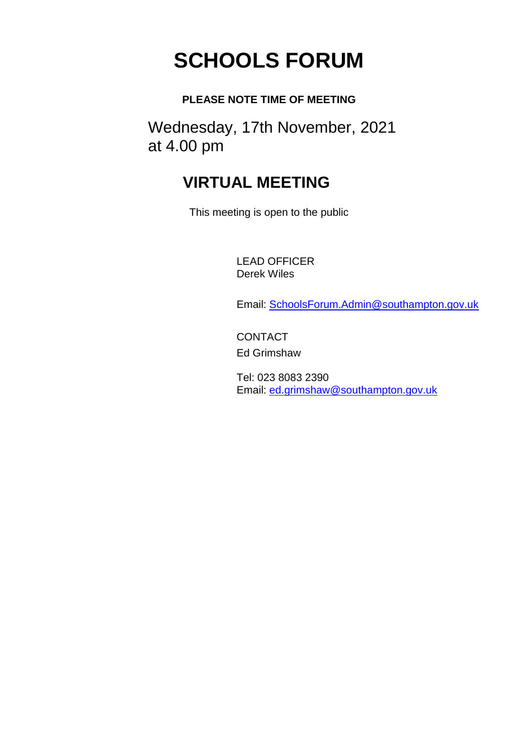# **SCHOOLS FORUM**

### **PLEASE NOTE TIME OF MEETING**

Wednesday, 17th November, 2021 at 4.00 pm

# **VIRTUAL MEETING**

This meeting is open to the public

LEAD OFFICER Derek Wiles

Email: [SchoolsForum.Admin@southampton.gov.uk](mailto:SchoolsForum.Admin@southampton.gov.uk)

**CONTACT** Ed Grimshaw

Tel: 023 8083 2390 Email: [ed.grimshaw@southampton.gov.uk](mailto:SchoolsForum.Admin@southampton.gov.uk)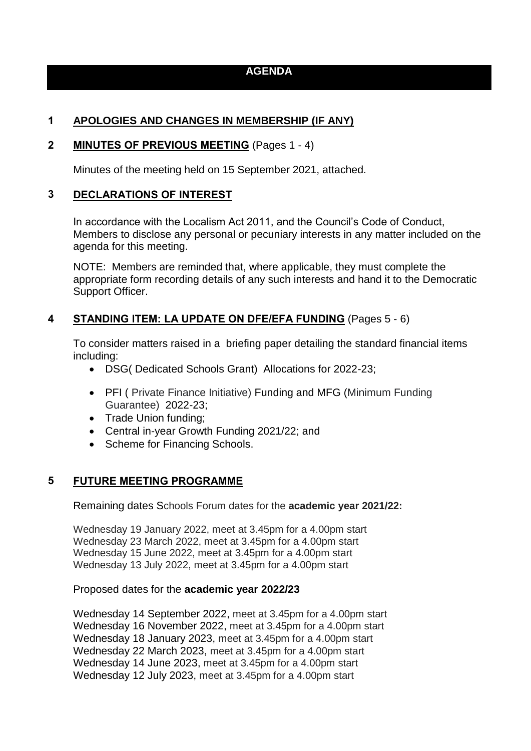#### **AGENDA**

#### **1 APOLOGIES AND CHANGES IN MEMBERSHIP (IF ANY)**

#### **2 MINUTES OF PREVIOUS MEETING** (Pages 1 - 4)

Minutes of the meeting held on 15 September 2021, attached.

#### **3 DECLARATIONS OF INTEREST**

In accordance with the Localism Act 2011, and the Council's Code of Conduct, Members to disclose any personal or pecuniary interests in any matter included on the agenda for this meeting.

NOTE: Members are reminded that, where applicable, they must complete the appropriate form recording details of any such interests and hand it to the Democratic Support Officer.

#### **4 STANDING ITEM: LA UPDATE ON DFE/EFA FUNDING** (Pages 5 - 6)

To consider matters raised in a briefing paper detailing the standard financial items including:

- DSG( Dedicated Schools Grant) Allocations for 2022-23;
- PFI ( Private Finance Initiative) Funding and MFG (Minimum Funding Guarantee) 2022-23;
- Trade Union funding;
- Central in-year Growth Funding 2021/22; and
- Scheme for Financing Schools.

#### **5 FUTURE MEETING PROGRAMME**

Remaining dates Schools Forum dates for the **academic year 2021/22:** 

Wednesday 19 January 2022, meet at 3.45pm for a 4.00pm start Wednesday 23 March 2022, meet at 3.45pm for a 4.00pm start Wednesday 15 June 2022, meet at 3.45pm for a 4.00pm start Wednesday 13 July 2022, meet at 3.45pm for a 4.00pm start

#### Proposed dates for the **academic year 2022/23**

Wednesday 14 September 2022, meet at 3.45pm for a 4.00pm start Wednesday 16 November 2022, meet at 3.45pm for a 4.00pm start Wednesday 18 January 2023, meet at 3.45pm for a 4.00pm start Wednesday 22 March 2023, meet at 3.45pm for a 4.00pm start Wednesday 14 June 2023, meet at 3.45pm for a 4.00pm start Wednesday 12 July 2023, meet at 3.45pm for a 4.00pm start